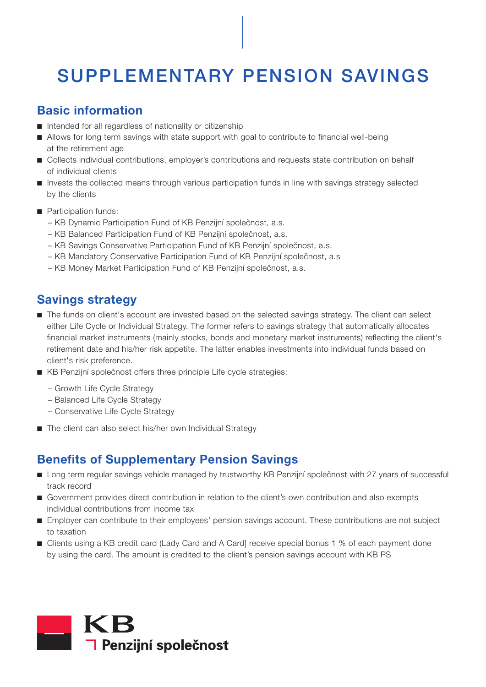# SUPPLEMENTARY PENSION SAVINGS

## **Basic information**

- Intended for all regardless of nationality or citizenship
- Allows for long term savings with state support with goal to contribute to financial well-being at the retirement age
- Collects individual contributions, employer's contributions and requests state contribution on behalf of individual clients
- Invests the collected means through various participation funds in line with savings strategy selected by the clients
- Participation funds:
	- KB Dynamic Participation Fund of KB Penzijní společnost, a.s.
	- KB Balanced Participation Fund of KB Penzijní společnost, a.s.
	- KB Savings Conservative Participation Fund of KB Penzijní společnost, a.s.
	- KB Mandatory Conservative Participation Fund of KB Penzijní společnost, a.s
	- KB Money Market Participation Fund of KB Penzijní společnost, a.s.

- The funds on client's account are invested based on the selected savings strategy. The client can select<br>■ The funds on client's account are invested based on the selected savings strategy. The client can select either Life Cycle or Individual Strategy. The former refers to savings strategy that automatically allocates financial market instruments (mainly stocks, bonds and monetary market instruments) reflecting the client's retirement date and his/her risk appetite. The latter enables investments into individual funds based on client's risk preference.
- KB Penzijní společnost offers three principle Life cycle strategies:
	- Growth Life Cycle Strategy
	- Balanced Life Cycle Strategy
	- Conservative Life Cycle Strategy
- The client can also select his/her own Individual Strategy

- Long term regular savings vehicle managed by trustworthy KB Penzijní společnost with 27 years of successful track record
- Government provides direct contribution in relation to the client's own contribution and also exempts individual contributions from income tax
- Employer can contribute to their employees' pension savings account. These contributions are not subject to taxation
- Clients using a KB credit card (Lady Card and A Card) receive special bonus 1 % of each payment done by using the card. The amount is credited to the client's pension savings account with KB PS